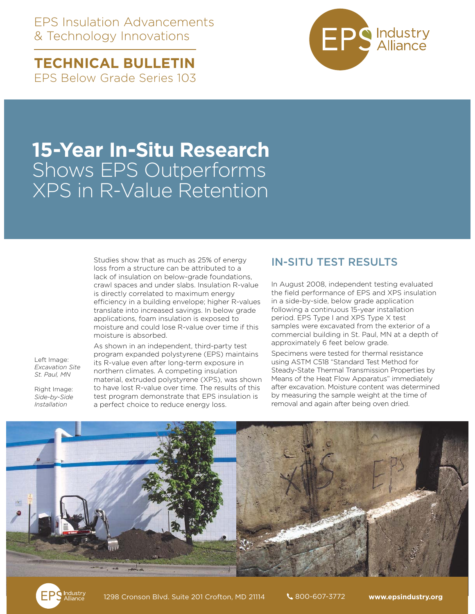EPS Insulation Advancements & Technology Innovations

**TECHNICAL BULLETIN**  EPS Below Grade Series 103



## **15-Year In-Situ Research** Shows EPS Outperforms XPS in R-Value Retention

Studies show that as much as 25% of energy loss from a structure can be attributed to a lack of insulation on below-grade foundations, crawl spaces and under slabs. Insulation R-value is directly correlated to maximum energy efficiency in a building envelope; higher R-values translate into increased savings. In below grade applications, foam insulation is exposed to moisture and could lose R-value over time if this moisture is absorbed.

Left Image: *Excavation Site St. Paul, MN* 

Right Image: *Side-by-Side Installation*

As shown in an independent, third-party test program expanded polystyrene (EPS) maintains its R-value even after long-term exposure in northern climates. A competing insulation material, extruded polystyrene (XPS), was shown to have lost R-value over time. The results of this test program demonstrate that EPS insulation is a perfect choice to reduce energy loss.

## IN-SITU TEST RESULTS

In August 2008, independent testing evaluated the field performance of EPS and XPS insulation in a side-by-side, below grade application following a continuous 15-year installation period. EPS Type I and XPS Type X test samples were excavated from the exterior of a commercial building in St. Paul, MN at a depth of approximately 6 feet below grade.

Specimens were tested for thermal resistance using ASTM C518 "Standard Test Method for Steady-State Thermal Transmission Properties by Means of the Heat Flow Apparatus" immediately after excavation. Moisture content was determined by measuring the sample weight at the time of removal and again after being oven dried.